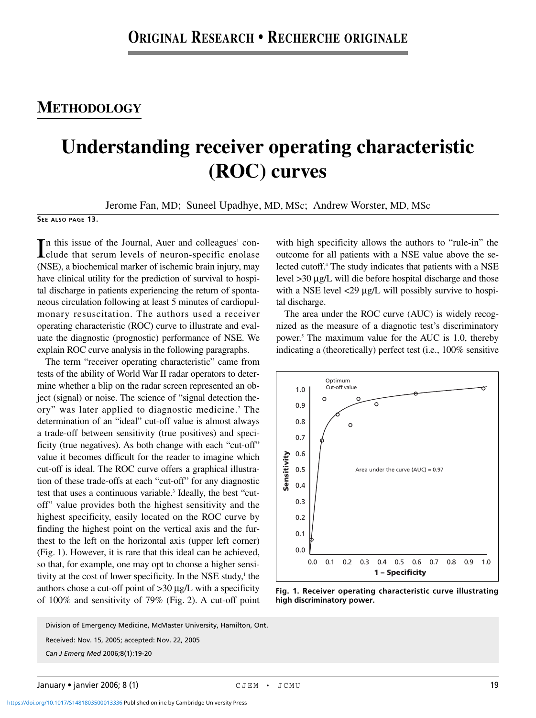## **METHODOLOGY**

## **Understanding receiver operating characteristic (ROC) curves**

Jerome Fan, MD; Suneel Upadhye, MD, MSc; Andrew Worster, MD, MSc

**SEE ALSO PAGE 13.**

In this issue of the Journal, Auer and colleagues<sup>1</sup> conclude that serum levels of neuron-specific enolase  $\mathbb T$ n this issue of the Journal, Auer and colleagues<sup>1</sup> con-(NSE), a biochemical marker of ischemic brain injury, may have clinical utility for the prediction of survival to hospital discharge in patients experiencing the return of spontaneous circulation following at least 5 minutes of cardiopulmonary resuscitation. The authors used a receiver operating characteristic (ROC) curve to illustrate and evaluate the diagnostic (prognostic) performance of NSE. We explain ROC curve analysis in the following paragraphs.

The term "receiver operating characteristic" came from tests of the ability of World War II radar operators to determine whether a blip on the radar screen represented an object (signal) or noise. The science of "signal detection theory" was later applied to diagnostic medicine. <sup>2</sup> The determination of an "ideal" cut-off value is almost always a trade-off between sensitivity (true positives) and specificity (true negatives). As both change with each "cut-off" value it becomes difficult for the reader to imagine which cut-off is ideal. The ROC curve offers a graphical illustration of these trade-offs at each "cut-off" for any diagnostic test that uses a continuous variable.<sup>3</sup> Ideally, the best "cutoff" value provides both the highest sensitivity and the highest specificity, easily located on the ROC curve by finding the highest point on the vertical axis and the furthest to the left on the horizontal axis (upper left corner) (Fig. 1). However, it is rare that this ideal can be achieved, so that, for example, one may opt to choose a higher sensitivity at the cost of lower specificity. In the NSE study, $\frac{1}{2}$  the authors chose a cut-off point of >30 µg/L with a specificity of 100% and sensitivity of 79% (Fig. 2). A cut-off point

*Can J Emerg Med* 2006;8(1):19-20 Received: Nov. 15, 2005; accepted: Nov. 22, 2005 Division of Emergency Medicine, McMaster University, Hamilton, Ont.

with high specificity allows the authors to "rule-in" the outcome for all patients with a NSE value above the selected cutoff.4 The study indicates that patients with a NSE level >30 µg/L will die before hospital discharge and those with a NSE level <29  $\mu$ g/L will possibly survive to hospital discharge.

The area under the ROC curve (AUC) is widely recognized as the measure of a diagnotic test's discriminatory power.5 The maximum value for the AUC is 1.0, thereby indicating a (theoretically) perfect test (i.e., 100% sensitive



**Fig. 1. Receiver operating characteristic curve illustrating high discriminatory power.**